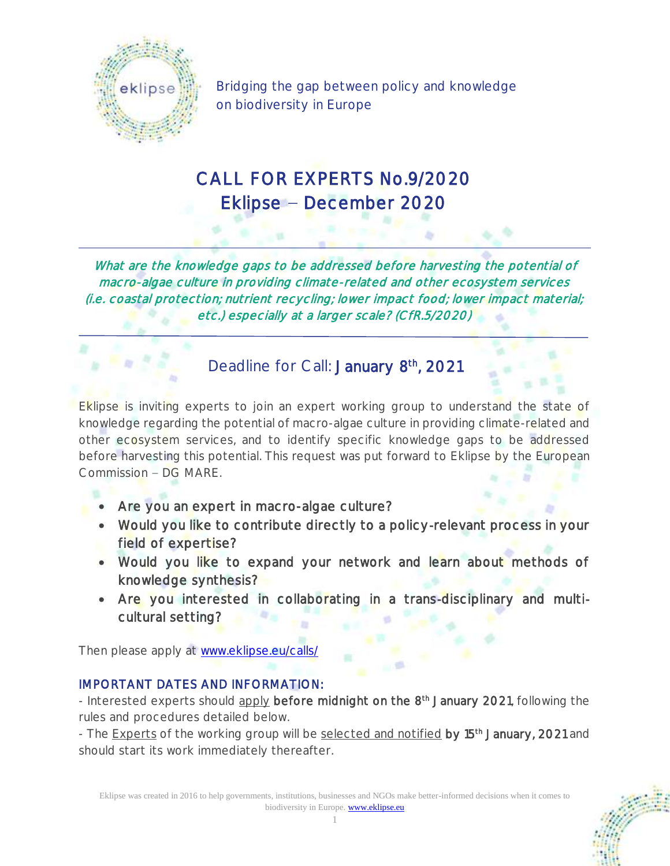

Bridging the gap between policy and knowledge on biodiversity in Europe

## CALL FOR EXPERTS No.9/2020 Eklipse – December 2020

What are the knowledge gaps to be addressed before harvesting the potential of macro-algae culture in providing climate-related and other ecosystem services (i.e. coastal protection; nutrient recycling; lower impact food; lower impact material; etc.) especially at a larger scale? (CfR.5/2020)

## Deadline for Call: January 8<sup>th</sup>, 2021

Eklipse is inviting experts to join an expert working group to understand the state of knowledge regarding the potential of macro-algae culture in providing climate-related and other ecosystem services, and to identify specific knowledge gaps to be addressed before harvesting this potential. This request was put forward to Eklipse by the European Commission - DG MARE.

- Are you an expert in macro-algae culture?
- Would you like to contribute directly to a policy-relevant process in your field of expertise?
- Would you like to expand your network and learn about methods of knowledge synthesis?
- Are you interested in collaborating in a trans-disciplinary and multicultural setting?

Then please apply at [www.eklipse.eu/calls/](http://www.eklipse.eu/calls/)

#### IMPORTANT DATES AND INFORMATION:

- Interested experts should apply before midnight on the 8<sup>th</sup> January 2021, following the rules and procedures detailed below.

- The **Experts** of the working group will be selected and notified by 15<sup>th</sup> January, 2021 and should start its work immediately thereafter.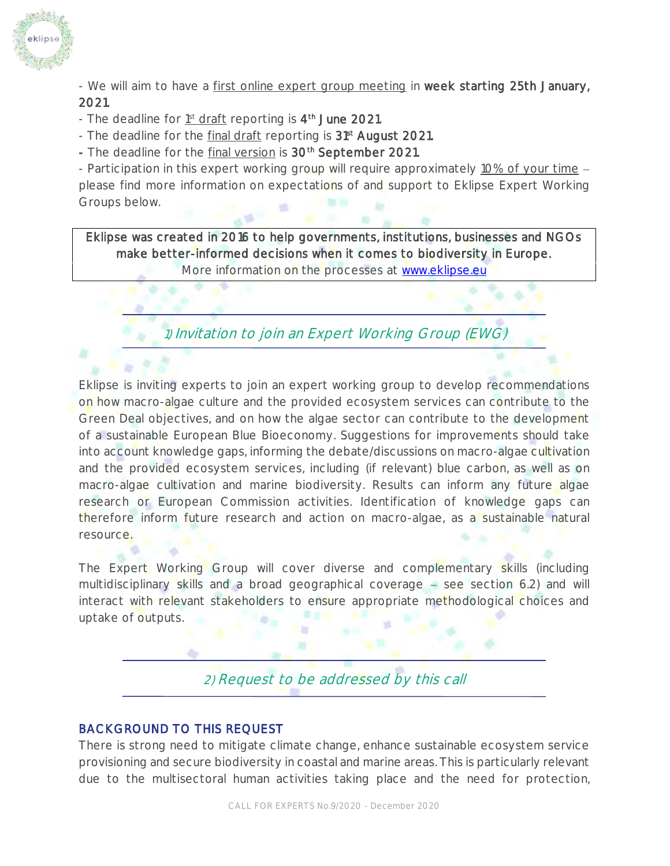

- We will aim to have a first online expert group meeting in week starting 25th January, 2021.

- The deadline for 1<sup>st</sup> draft reporting is 4<sup>th</sup> June 2021.
- The deadline for the *final draft* reporting is 31<sup>st</sup> August 2021.
- The deadline for the final version is 30<sup>th</sup> September 2021.

- Participation in this expert working group will require approximately 10% of your time please find more information on expectations of and support to Eklipse Expert Working Groups below.

Eklipse was created in 2016 to help governments, institutions, businesses and NGOs make better-informed decisions when it comes to biodiversity in Europe.

More information on the processes at [www.eklipse.eu](http://www.eklipse.eu/)

1) Invitation to join an Expert Working Group (EWG)

Eklipse is inviting experts to join an expert working group to develop recommendations on how macro-algae culture and the provided ecosystem services can contribute to the Green Deal objectives, and on how the algae sector can contribute to the development of a sustainable European Blue Bioeconomy. Suggestions for improvements should take into account knowledge gaps, informing the debate/discussions on macro-algae cultivation and the provided ecosystem services, including (if relevant) blue carbon, as well as on macro-algae cultivation and marine biodiversity. Results can inform any future algae research or European Commission activities. Identification of knowledge gaps can therefore inform future research and action on macro-algae, as a sustainable natural resource.

The Expert Working Group will cover diverse and complementary skills (including multidisciplinary skills and a broad geographical coverage  $-$  see section 6.2) and will interact with relevant stakeholders to ensure appropriate methodological choices and uptake of outputs.

# 2) Request to be addressed by this call

#### BACKGROUND TO THIS REQUEST

There is strong need to mitigate climate change, enhance sustainable ecosystem service provisioning and secure biodiversity in coastal and marine areas. This is particularly relevant due to the multisectoral human activities taking place and the need for protection,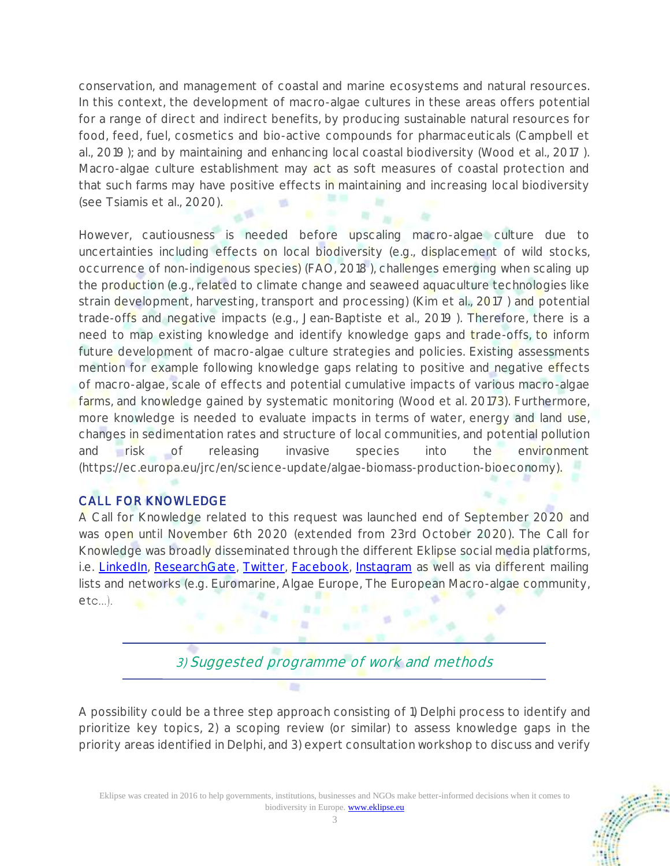conservation, and management of coastal and marine ecosystems and natural resources. In this context, the development of macro-algae cultures in these areas offers potential for a range of direct and indirect benefits, by producing sustainable natural resources for food, feed, fuel, cosmetics and bio-active compounds for pharmaceuticals (Campbell et al., 2019 ); and by maintaining and enhancing local coastal biodiversity (Wood et al., 2017 ). Macro-algae culture establishment may act as soft measures of coastal protection and that such farms may have positive effects in maintaining and increasing local biodiversity (see Tsiamis et al., 2020).

However, cautiousness is needed before upscaling macro-algae culture due to uncertainties including effects on local biodiversity (e.g., displacement of wild stocks, occurrence of non-indigenous species) (FAO, 2018 ), challenges emerging when scaling up the production (e.g., related to climate change and seaweed aquaculture technologies like strain development, harvesting, transport and processing) (Kim et al., 2017 ) and potential trade-offs and negative impacts (e.g., Jean-Baptiste et al., 2019 ). Therefore, there is a need to map existing knowledge and identify knowledge gaps and trade-offs, to inform future development of macro-algae culture strategies and policies. Existing assessments mention for example following knowledge gaps relating to positive and negative effects of macro-algae, scale of effects and potential cumulative impacts of various macro-algae farms, and knowledge gained by systematic monitoring (Wood et al. 20173). Furthermore, more knowledge is needed to evaluate impacts in terms of water, energy and land use, changes in sedimentation rates and structure of local communities, and potential pollution and risk of releasing invasive species into the environment (https://ec.europa.eu/jrc/en/science-update/algae-biomass-production-bioeconomy).

#### CALL FOR KNOWLEDGE

A Call for Knowledge related to this request was launched end of September 2020 and was open until November 6th 2020 (extended from 23rd October 2020). The Call for Knowledge was broadly disseminated through the different Eklipse social media platforms, i.e. [LinkedIn,](https://www.linkedin.com/company/eklipse-europe/) [ResearchGate,](https://www.researchgate.net/project/Eklipse-Bridging-the-gap-between-policy-and-knowledge-on-biodiversity-in-Europe) [Twitter,](https://twitter.com/Eklipse_europe) [Facebook,](https://www.facebook.com/eklipsemechanism/) [Instagram](https://www.instagram.com/eklipse_europe/) as well as via different mailing lists and networks (e.g. Euromarine, Algae Europe, The European Macro-algae community,  $etc...$ ).

3) Suggested programme of work and methods

A possibility could be a three step approach consisting of 1) Delphi process to identify and prioritize key topics, 2) a scoping review (or similar) to assess knowledge gaps in the priority areas identified in Delphi, and 3) expert consultation workshop to discuss and verify

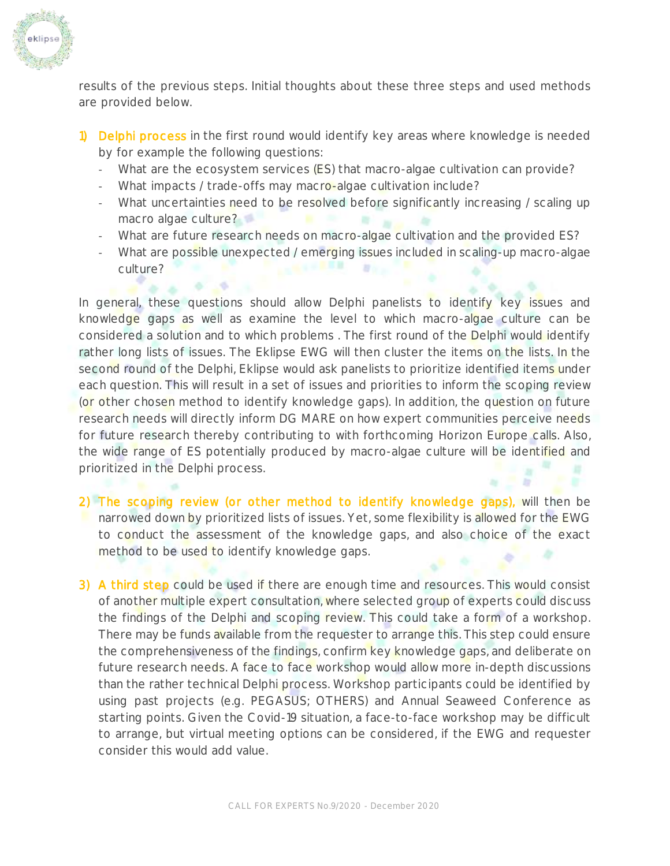

results of the previous steps. Initial thoughts about these three steps and used methods are provided below.

- 1) Delphi process in the first round would identify key areas where knowledge is needed by for example the following questions:
	- What are the ecosystem services (ES) that macro-algae cultivation can provide?
	- What impacts / trade-offs may macro-algae cultivation include?
	- What uncertainties need to be resolved before significantly increasing / scaling up macro algae culture?
	- What are future research needs on macro-algae cultivation and the provided ES?
	- What are possible unexpected / emerging issues included in scaling-up macro-algae culture?

In general, these questions should allow Delphi panelists to identify key issues and knowledge gaps as well as examine the level to which macro-algae culture can be considered a solution and to which problems . The first round of the Delphi would identify rather long lists of issues. The Eklipse EWG will then cluster the items on the lists. In the second round of the Delphi, Eklipse would ask panelists to prioritize identified items under each question. This will result in a set of issues and priorities to inform the scoping review (or other chosen method to identify knowledge gaps). In addition, the question on future research needs will directly inform DG MARE on how expert communities perceive needs for future research thereby contributing to with forthcoming Horizon Europe calls. Also, the wide range of ES potentially produced by macro-algae culture will be identified and prioritized in the Delphi process.

- 2) The scoping review (or other method to identify knowledge gaps), will then be narrowed down by prioritized lists of issues. Yet, some flexibility is allowed for the EWG to conduct the assessment of the knowledge gaps, and also choice of the exact method to be used to identify knowledge gaps.
- 3) A third step could be used if there are enough time and resources. This would consist of another multiple expert consultation, where selected group of experts could discuss the findings of the Delphi and scoping review. This could take a form of a workshop. There may be funds available from the requester to arrange this. This step could ensure the comprehensiveness of the findings, confirm key knowledge gaps, and deliberate on future research needs. A face to face workshop would allow more in-depth discussions than the rather technical Delphi process. Workshop participants could be identified by using past projects (e.g. PEGASUS; OTHERS) and Annual Seaweed Conference as starting points. Given the Covid-19 situation, a face-to-face workshop may be difficult to arrange, but virtual meeting options can be considered, if the EWG and requester consider this would add value.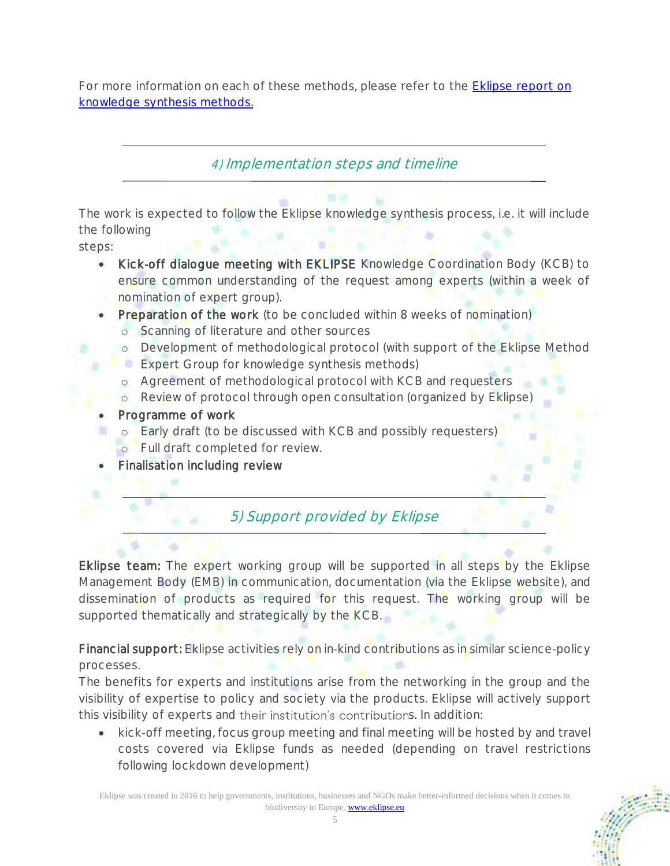For more information on each of these methods, please refer to the Eklipse [report on](http://eklipse.eu/wp-content/uploads/2020/10/EKLIPSE_D3-1_On-lineReport_NewInset4Print_012019_HL3.pdf)  [knowledge synthesis methods.](http://eklipse.eu/wp-content/uploads/2020/10/EKLIPSE_D3-1_On-lineReport_NewInset4Print_012019_HL3.pdf)

### 4) Implementation steps and timeline

The work is expected to follow the Eklipse knowledge synthesis process, i.e. it will include the following

steps:

- Kick-off dialogue meeting with EKLIPSE Knowledge Coordination Body (KCB) to ensure common understanding of the request among experts (within a week of nomination of expert group).
- Preparation of the work (to be concluded within 8 weeks of nomination)
	- o Scanning of literature and other sources
	- o Development of methodological protocol (with support of the Eklipse Method
	- **Expert Group for knowledge synthesis methods)**
	- o Agreement of methodological protocol with KCB and requesters
	- o Review of protocol through open consultation (organized by Eklipse)
- Programme of work
	- o Early draft (to be discussed with KCB and possibly requesters) o Full draft completed for review.
- Finalisation including review

## 5) Support provided by Eklipse

Eklipse team: The expert working group will be supported in all steps by the Eklipse Management Body (EMB) in communication, documentation (via the Eklipse website), and dissemination of products as required for this request. The working group will be supported thematically and strategically by the KCB.

Financial support: Eklipse activities rely on in-kind contributions as in similar science-policy processes.

The benefits for experts and institutions arise from the networking in the group and the visibility of expertise to policy and society via the products. Eklipse will actively support this visibility of experts and their institution's contributions. In addition:

• kick-off meeting, focus group meeting and final meeting will be hosted by and travel costs covered via Eklipse funds as needed (depending on travel restrictions following lockdown development)

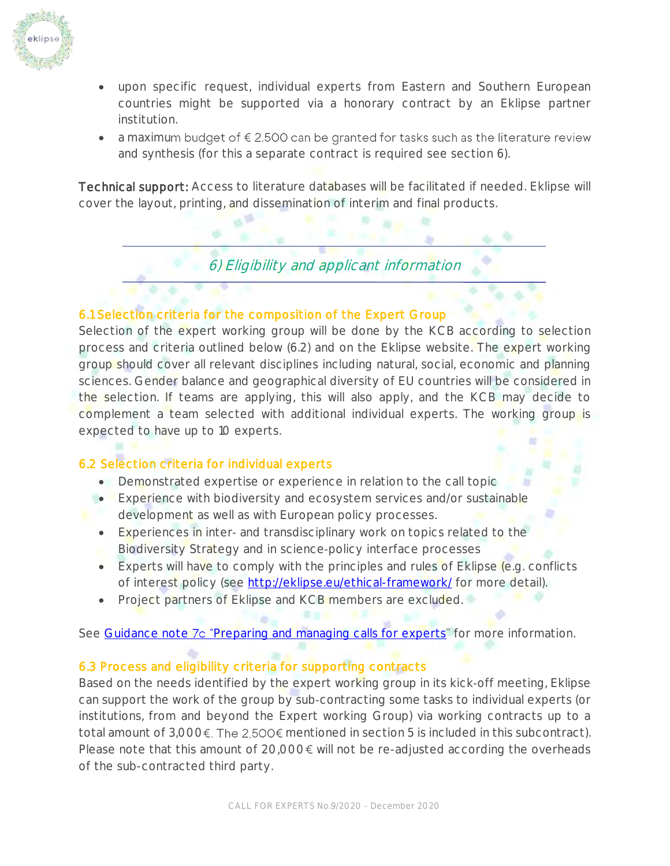

- upon specific request, individual experts from Eastern and Southern European countries might be supported via a honorary contract by an Eklipse partner institution.
- $\bullet$  a maximum budget of  $\epsilon$  2.500 can be granted for tasks such as the literature review and synthesis (for this a separate contract is required see section 6).

Technical support: Access to literature databases will be facilitated if needed. Eklipse will cover the layout, printing, and dissemination of interim and final products.

6) Eligibility and applicant information

#### 6.1 Selection criteria for the composition of the Expert Group

Selection of the expert working group will be done by the KCB according to selection process and criteria outlined below (6.2) and on the Eklipse website. The expert working group should cover all relevant disciplines including natural, social, economic and planning sciences. Gender balance and geographical diversity of EU countries will be considered in the selection. If teams are applying, this will also apply, and the KCB may decide to complement a team selected with additional individual experts. The working group is expected to have up to 10 experts.

#### 6.2 Selection criteria for individual experts

- Demonstrated expertise or experience in relation to the call topic
- Experience with biodiversity and ecosystem services and/or sustainable
- development as well as with European policy processes.
- Experiences in inter- and transdisciplinary work on topics related to the Biodiversity Strategy and in science-policy interface processes
- Experts will have to comply with the principles and rules of Eklipse (e.g. conflicts of interest policy (see<http://eklipse.eu/ethical-framework/> for more detail).
- Project partners of Eklipse and KCB members are excluded.

See Guidance note 7c "[Preparing and managing calls for experts](http://eklipse.eu/wp-content/uploads/website_db/Guidelines/Gn_7c_Preparing-and-managing-call-for-experts.pdf)" for more information.

#### 6.3 Process and eligibility criteria for supporting contracts

Based on the needs identified by the expert working group in its kick‐off meeting, Eklipse can support the work of the group by sub‐contracting some tasks to individual experts (or institutions, from and beyond the Expert working Group) via working contracts up to a total amount of  $3,000 \text{€}$ . The  $2,500 \text{€}$  mentioned in section 5 is included in this subcontract). Please note that this amount of  $20,000 \epsilon$  will not be re-adjusted according the overheads of the sub-contracted third party.